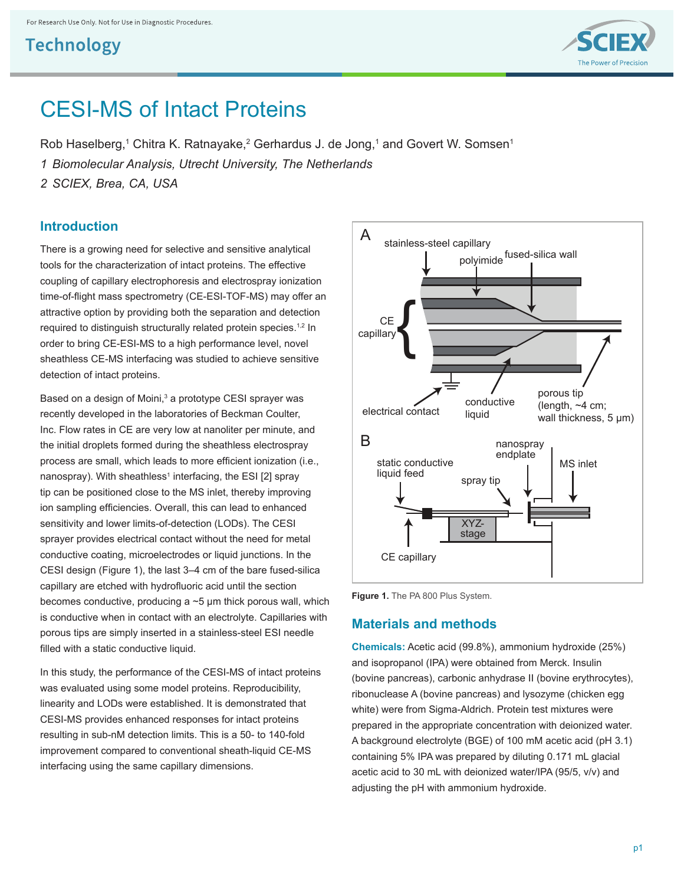

# CESI-MS of Intact Proteins

Rob Haselberg,<sup>1</sup> Chitra K. Ratnayake,<sup>2</sup> Gerhardus J. de Jong,<sup>1</sup> and Govert W. Somsen<sup>1</sup>

*1 Biomolecular Analysis, Utrecht University, The Netherlands*

*2 SCIEX, Brea, CA, USA*

#### **Introduction**

There is a growing need for selective and sensitive analytical tools for the characterization of intact proteins. The effective coupling of capillary electrophoresis and electrospray ionization time-of-flight mass spectrometry (CE-ESI-TOF-MS) may offer an attractive option by providing both the separation and detection required to distinguish structurally related protein species.<sup>1,2</sup> In order to bring CE-ESI-MS to a high performance level, novel sheathless CE-MS interfacing was studied to achieve sensitive detection of intact proteins.

Based on a design of Moini,<sup>3</sup> a prototype CESI sprayer was recently developed in the laboratories of Beckman Coulter, Inc. Flow rates in CE are very low at nanoliter per minute, and the initial droplets formed during the sheathless electrospray process are small, which leads to more efficient ionization (i.e., nanospray). With sheathless<sup>1</sup> interfacing, the ESI [2] spray tip can be positioned close to the MS inlet, thereby improving ion sampling efficiencies. Overall, this can lead to enhanced sensitivity and lower limits-of-detection (LODs). The CESI sprayer provides electrical contact without the need for metal conductive coating, microelectrodes or liquid junctions. In the CESI design (Figure 1), the last 3–4 cm of the bare fused-silica capillary are etched with hydrofluoric acid until the section becomes conductive, producing  $a \sim 5$  µm thick porous wall, which is conductive when in contact with an electrolyte. Capillaries with porous tips are simply inserted in a stainless-steel ESI needle filled with a static conductive liquid.

In this study, the performance of the CESI-MS of intact proteins was evaluated using some model proteins. Reproducibility, linearity and LODs were established. It is demonstrated that CESI-MS provides enhanced responses for intact proteins resulting in sub-nM detection limits. This is a 50- to 140-fold improvement compared to conventional sheath-liquid CE-MS interfacing using the same capillary dimensions.



Figure 1. The PA 800 Plus System.

#### **Materials and methods**

**Chemicals:** Acetic acid (99.8%), ammonium hydroxide (25%) and isopropanol (IPA) were obtained from Merck. Insulin (bovine pancreas), carbonic anhydrase II (bovine erythrocytes), ribonuclease A (bovine pancreas) and lysozyme (chicken egg white) were from Sigma-Aldrich. Protein test mixtures were prepared in the appropriate concentration with deionized water. A background electrolyte (BGE) of 100 mM acetic acid (pH 3.1) containing 5% IPA was prepared by diluting 0.171 mL glacial acetic acid to 30 mL with deionized water/IPA (95/5, v/v) and adjusting the pH with ammonium hydroxide.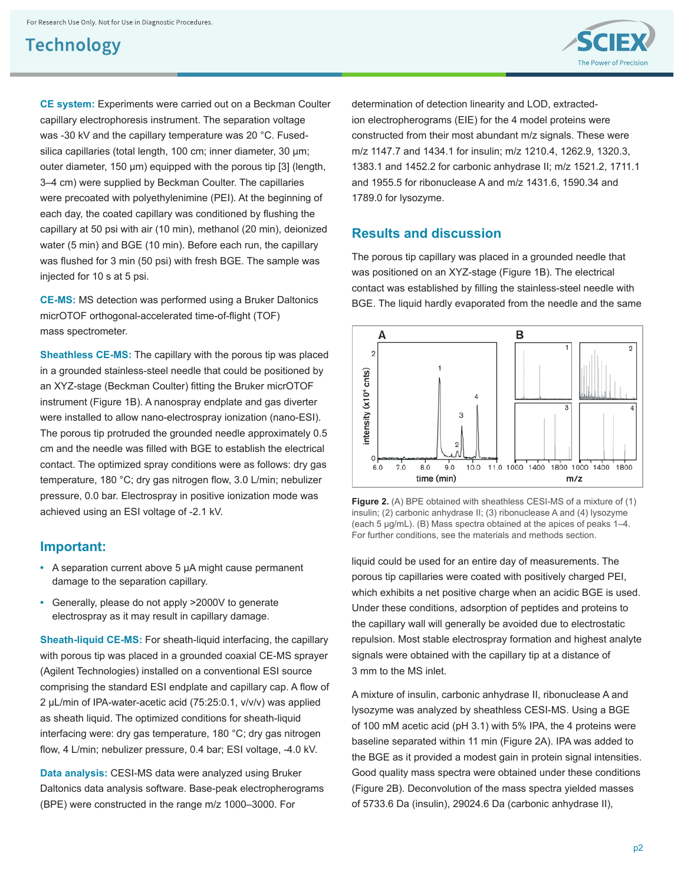

**CE system:** Experiments were carried out on a Beckman Coulter capillary electrophoresis instrument. The separation voltage was -30 kV and the capillary temperature was 20 °C. Fusedsilica capillaries (total length, 100 cm; inner diameter, 30 μm; outer diameter, 150 μm) equipped with the porous tip [3] (length, 3–4 cm) were supplied by Beckman Coulter. The capillaries were precoated with polyethylenimine (PEI). At the beginning of each day, the coated capillary was conditioned by flushing the capillary at 50 psi with air (10 min), methanol (20 min), deionized water (5 min) and BGE (10 min). Before each run, the capillary was flushed for 3 min (50 psi) with fresh BGE. The sample was injected for 10 s at 5 psi.

**CE-MS:** MS detection was performed using a Bruker Daltonics micrOTOF orthogonal-accelerated time-of-flight (TOF) mass spectrometer.

**Sheathless CE-MS:** The capillary with the porous tip was placed in a grounded stainless-steel needle that could be positioned by an XYZ-stage (Beckman Coulter) fitting the Bruker micrOTOF instrument (Figure 1B). A nanospray endplate and gas diverter were installed to allow nano-electrospray ionization (nano-ESI). The porous tip protruded the grounded needle approximately 0.5 cm and the needle was filled with BGE to establish the electrical contact. The optimized spray conditions were as follows: dry gas temperature, 180 °C; dry gas nitrogen flow, 3.0 L/min; nebulizer pressure, 0.0 bar. Electrospray in positive ionization mode was achieved using an ESI voltage of -2.1 kV.

#### **Important:**

- **•** A separation current above 5 μA might cause permanent damage to the separation capillary.
- **•** Generally, please do not apply >2000V to generate electrospray as it may result in capillary damage.

**Sheath-liquid CE-MS:** For sheath-liquid interfacing, the capillary with porous tip was placed in a grounded coaxial CE-MS sprayer (Agilent Technologies) installed on a conventional ESI source comprising the standard ESI endplate and capillary cap. A flow of 2 μL/min of IPA-water-acetic acid (75:25:0.1, v/v/v) was applied as sheath liquid. The optimized conditions for sheath-liquid interfacing were: dry gas temperature, 180 °C; dry gas nitrogen flow, 4 L/min; nebulizer pressure, 0.4 bar; ESI voltage, -4.0 kV.

**Data analysis:** CESI-MS data were analyzed using Bruker Daltonics data analysis software. Base-peak electropherograms (BPE) were constructed in the range m/z 1000–3000. For

determination of detection linearity and LOD, extractedion electropherograms (EIE) for the 4 model proteins were constructed from their most abundant m/z signals. These were m/z 1147.7 and 1434.1 for insulin; m/z 1210.4, 1262.9, 1320.3, 1383.1 and 1452.2 for carbonic anhydrase II; m/z 1521.2, 1711.1 and 1955.5 for ribonuclease A and m/z 1431.6, 1590.34 and 1789.0 for lysozyme.

#### **Results and discussion**

The porous tip capillary was placed in a grounded needle that was positioned on an XYZ-stage (Figure 1B). The electrical contact was established by filling the stainless-steel needle with BGE. The liquid hardly evaporated from the needle and the same



**Figure 2.** (A) BPE obtained with sheathless CESI-MS of a mixture of (1) insulin; (2) carbonic anhydrase II; (3) ribonuclease A and (4) lysozyme (each 5 μg/mL). (B) Mass spectra obtained at the apices of peaks 1–4. For further conditions, see the materials and methods section.

liquid could be used for an entire day of measurements. The porous tip capillaries were coated with positively charged PEI, which exhibits a net positive charge when an acidic BGE is used. Under these conditions, adsorption of peptides and proteins to the capillary wall will generally be avoided due to electrostatic repulsion. Most stable electrospray formation and highest analyte signals were obtained with the capillary tip at a distance of 3 mm to the MS inlet.

A mixture of insulin, carbonic anhydrase II, ribonuclease A and lysozyme was analyzed by sheathless CESI-MS. Using a BGE of 100 mM acetic acid (pH 3.1) with 5% IPA, the 4 proteins were baseline separated within 11 min (Figure 2A). IPA was added to the BGE as it provided a modest gain in protein signal intensities. Good quality mass spectra were obtained under these conditions (Figure 2B). Deconvolution of the mass spectra yielded masses of 5733.6 Da (insulin), 29024.6 Da (carbonic anhydrase II),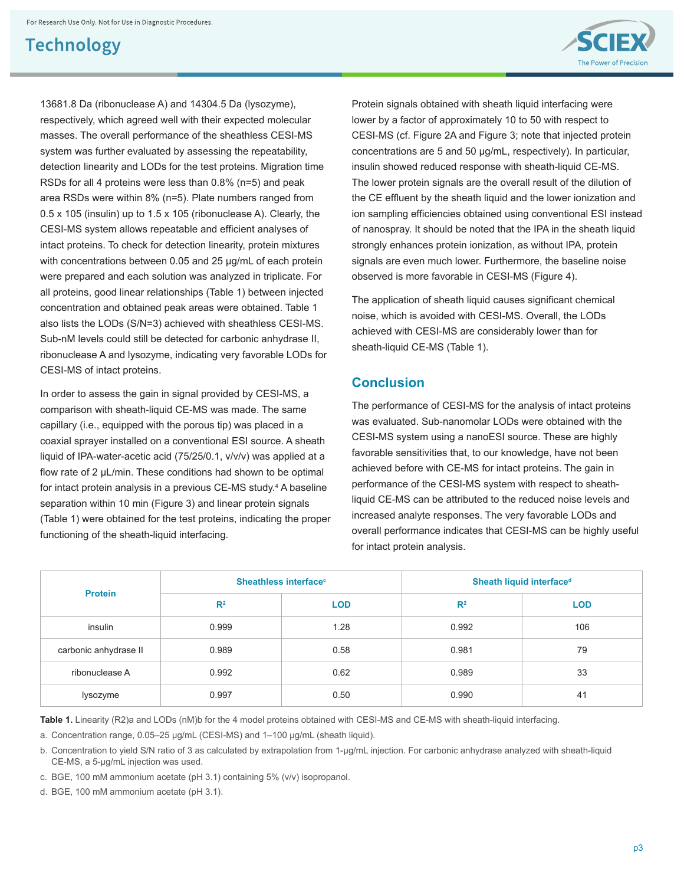

In order to assess the gain in signal provided by CESI-MS, a comparison with sheath-liquid CE-MS was made. The same capillary (i.e., equipped with the porous tip) was placed in a coaxial sprayer installed on a conventional ESI source. A sheath liquid of IPA-water-acetic acid (75/25/0.1, v/v/v) was applied at a flow rate of 2 μL/min. These conditions had shown to be optimal for intact protein analysis in a previous CE-MS study.<sup>4</sup> A baseline separation within 10 min (Figure 3) and linear protein signals (Table 1) were obtained for the test proteins, indicating the proper functioning of the sheath-liquid interfacing.

Protein signals obtained with sheath liquid interfacing were lower by a factor of approximately 10 to 50 with respect to CESI-MS (cf. Figure 2A and Figure 3; note that injected protein concentrations are 5 and 50 μg/mL, respectively). In particular, insulin showed reduced response with sheath-liquid CE-MS. The lower protein signals are the overall result of the dilution of the CE effluent by the sheath liquid and the lower ionization and ion sampling efficiencies obtained using conventional ESI instead of nanospray. It should be noted that the IPA in the sheath liquid strongly enhances protein ionization, as without IPA, protein signals are even much lower. Furthermore, the baseline noise observed is more favorable in CESI-MS (Figure 4).

The Power of Precision

The application of sheath liquid causes significant chemical noise, which is avoided with CESI-MS. Overall, the LODs achieved with CESI-MS are considerably lower than for sheath-liquid CE-MS (Table 1).

#### **Conclusion**

The performance of CESI-MS for the analysis of intact proteins was evaluated. Sub-nanomolar LODs were obtained with the CESI-MS system using a nanoESI source. These are highly favorable sensitivities that, to our knowledge, have not been achieved before with CE-MS for intact proteins. The gain in performance of the CESI-MS system with respect to sheathliquid CE-MS can be attributed to the reduced noise levels and increased analyte responses. The very favorable LODs and overall performance indicates that CESI-MS can be highly useful for intact protein analysis.

| <b>Protein</b>        | Sheathless interface <sup>c</sup> |            | Sheath liquid interface <sup>d</sup> |            |
|-----------------------|-----------------------------------|------------|--------------------------------------|------------|
|                       | $R^2$                             | <b>LOD</b> | R <sup>2</sup>                       | <b>LOD</b> |
| insulin               | 0.999                             | 1.28       | 0.992                                | 106        |
| carbonic anhydrase II | 0.989                             | 0.58       | 0.981                                | 79         |
| ribonuclease A        | 0.992                             | 0.62       | 0.989                                | 33         |
| lysozyme              | 0.997                             | 0.50       | 0.990                                | 41         |

**Table 1.** Linearity (R2)a and LODs (nM)b for the 4 model proteins obtained with CESI-MS and CE-MS with sheath-liquid interfacing.

a. Concentration range, 0.05–25 μg/mL (CESI-MS) and 1–100 μg/mL (sheath liquid).

b. Concentration to yield S/N ratio of 3 as calculated by extrapolation from 1-μg/mL injection. For carbonic anhydrase analyzed with sheath-liquid CE-MS, a 5-μg/mL injection was used.

c. BGE, 100 mM ammonium acetate (pH 3.1) containing 5% (v/v) isopropanol.

d. BGE, 100 mM ammonium acetate (pH 3.1).